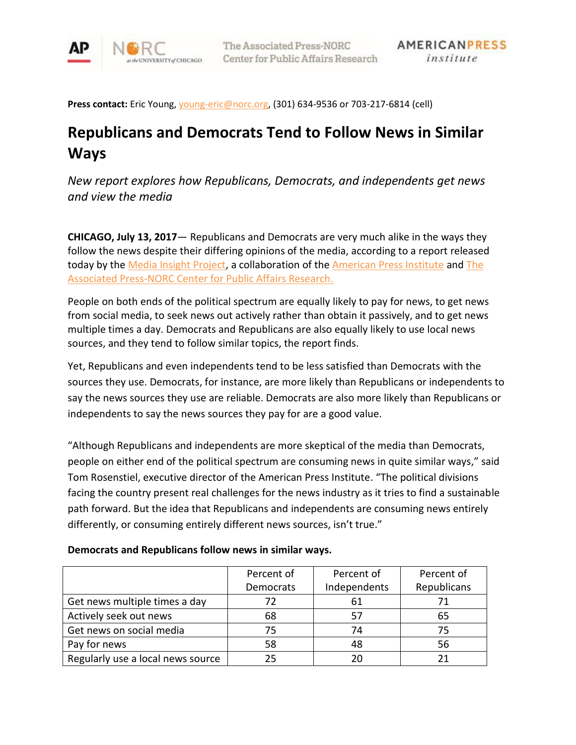

**Press contact:** Eric Young, [young-eric@norc.org,](mailto:young-eric@norc.org) (301) 634-9536 or 703-217-6814 (cell)

# **Republicans and Democrats Tend to Follow News in Similar Ways**

*New report explores how Republicans, Democrats, and independents get news and view the media*

**CHICAGO, July 13, 2017**— Republicans and Democrats are very much alike in the ways they follow the news despite their differing opinions of the media, according to a report released today by the [Media Insight Project,](http://www.mediainsight.org/Pages/default.aspx) a collaboration of the [American Press Institute](https://www.americanpressinstitute.org/) and The [Associated Press-NORC Center for Public Affairs Research.](http://www.apnorc.org/)

People on both ends of the political spectrum are equally likely to pay for news, to get news from social media, to seek news out actively rather than obtain it passively, and to get news multiple times a day. Democrats and Republicans are also equally likely to use local news sources, and they tend to follow similar topics, the report finds.

Yet, Republicans and even independents tend to be less satisfied than Democrats with the sources they use. Democrats, for instance, are more likely than Republicans or independents to say the news sources they use are reliable. Democrats are also more likely than Republicans or independents to say the news sources they pay for are a good value.

"Although Republicans and independents are more skeptical of the media than Democrats, people on either end of the political spectrum are consuming news in quite similar ways," said Tom Rosenstiel, executive director of the American Press Institute. "The political divisions facing the country present real challenges for the news industry as it tries to find a sustainable path forward. But the idea that Republicans and independents are consuming news entirely differently, or consuming entirely different news sources, isn't true."

### **Democrats and Republicans follow news in similar ways.**

|                                   | Percent of | Percent of   | Percent of  |
|-----------------------------------|------------|--------------|-------------|
|                                   | Democrats  | Independents | Republicans |
| Get news multiple times a day     | 72         | 61           |             |
| Actively seek out news            | 68         |              | 65          |
| Get news on social media          | 75         | 74           | 75          |
| Pay for news                      | 58         | 48           | 56          |
| Regularly use a local news source | 25         | 20           |             |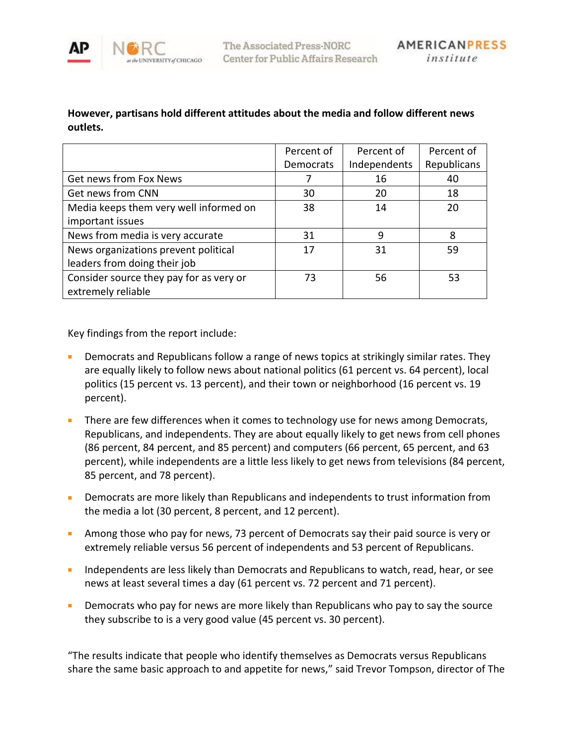

# **However, partisans hold different attitudes about the media and follow different news outlets.**

|                                         | Percent of       | Percent of   | Percent of  |
|-----------------------------------------|------------------|--------------|-------------|
|                                         | <b>Democrats</b> | Independents | Republicans |
| Get news from Fox News                  |                  | 16           | 40          |
| Get news from CNN                       | 30               | 20           | 18          |
| Media keeps them very well informed on  | 38               | 14           | 20          |
| important issues                        |                  |              |             |
| News from media is very accurate        | 31               | 9            | 8           |
| News organizations prevent political    | 17               | 31           | 59          |
| leaders from doing their job            |                  |              |             |
| Consider source they pay for as very or | 73               | 56           | 53          |
| extremely reliable                      |                  |              |             |

Key findings from the report include:

- Democrats and Republicans follow a range of news topics at strikingly similar rates. They are equally likely to follow news about national politics (61 percent vs. 64 percent), local politics (15 percent vs. 13 percent), and their town or neighborhood (16 percent vs. 19 percent).
- There are few differences when it comes to technology use for news among Democrats, Republicans, and independents. They are about equally likely to get news from cell phones (86 percent, 84 percent, and 85 percent) and computers (66 percent, 65 percent, and 63 percent), while independents are a little less likely to get news from televisions (84 percent, 85 percent, and 78 percent).
- Democrats are more likely than Republicans and independents to trust information from the media a lot (30 percent, 8 percent, and 12 percent).
- Among those who pay for news, 73 percent of Democrats say their paid source is very or extremely reliable versus 56 percent of independents and 53 percent of Republicans.
- Independents are less likely than Democrats and Republicans to watch, read, hear, or see news at least several times a day (61 percent vs. 72 percent and 71 percent).
- Democrats who pay for news are more likely than Republicans who pay to say the source they subscribe to is a very good value (45 percent vs. 30 percent).

"The results indicate that people who identify themselves as Democrats versus Republicans share the same basic approach to and appetite for news," said Trevor Tompson, director of The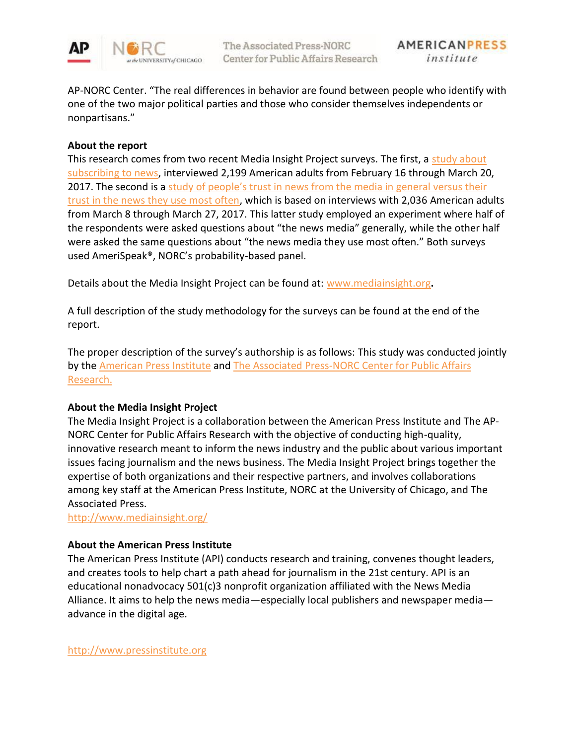

AP-NORC Center. "The real differences in behavior are found between people who identify with one of the two major political parties and those who consider themselves independents or nonpartisans."

# **About the report**

This research comes from two recent Media Insight Project surveys. The first, a study about [subscribing to news,](http://mediainsight.org/Pages/Paying-for-News-Why-People-Subscribe-and-What-It-Says-About-the-Future-of-Journalism.aspx) interviewed 2,199 American adults from February 16 through March 20, 2017. The second is a study of people's trust in news from the media in general versus their [trust in the news they use most often,](http://mediainsight.org/Pages/%E2%80%9CMy%E2%80%9D-Media-Versus-%E2%80%9CThe%E2%80%9D-Media-Trust-in-News-Depends-on-Which-News-Media-You-Mean.aspx) which is based on interviews with 2,036 American adults from March 8 through March 27, 2017. This latter study employed an experiment where half of the respondents were asked questions about "the news media" generally, while the other half were asked the same questions about "the news media they use most often." Both surveys used AmeriSpeak®, NORC's probability-based panel.

Details about the Media Insight Project can be found at: [www.mediainsight.org](http://www.mediainsight.org/)**.**

A full description of the study methodology for the surveys can be found at the end of the report.

The proper description of the survey's authorship is as follows: This study was conducted jointly by the [American Press Institute](http://www.americanpressinstitute.org/) and The Associated Press-NORC Center for Public Affairs [Research.](http://apnorc.org/Pages/default.aspx)

### **About the Media Insight Project**

The Media Insight Project is a collaboration between the American Press Institute and The AP-NORC Center for Public Affairs Research with the objective of conducting high-quality, innovative research meant to inform the news industry and the public about various important issues facing journalism and the news business. The Media Insight Project brings together the expertise of both organizations and their respective partners, and involves collaborations among key staff at the American Press Institute, NORC at the University of Chicago, and The Associated Press.

<http://www.mediainsight.org/>

### **About the American Press Institute**

The American Press Institute (API) conducts research and training, convenes thought leaders, and creates tools to help chart a path ahead for journalism in the 21st century. API is an educational nonadvocacy 501(c)3 nonprofit organization affiliated with the News Media Alliance. It aims to help the news media—especially local publishers and newspaper media advance in the digital age.